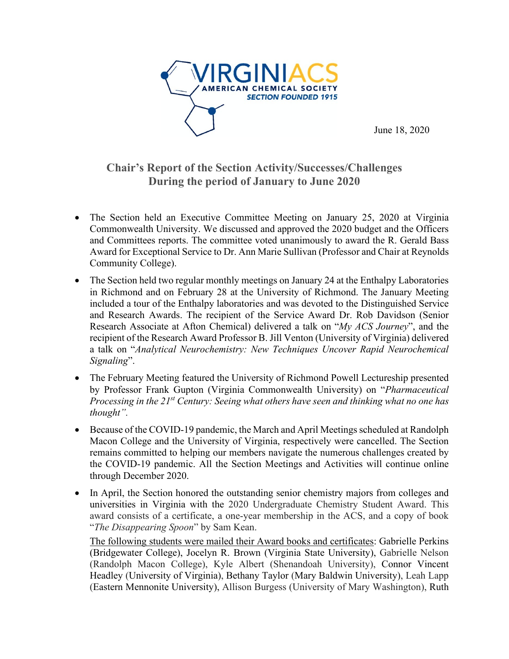

June 18, 2020

## **Chair's Report of the Section Activity/Successes/Challenges During the period of January to June 2020**

- The Section held an Executive Committee Meeting on January 25, 2020 at Virginia Commonwealth University. We discussed and approved the 2020 budget and the Officers and Committees reports. The committee voted unanimously to award the R. Gerald Bass Award for Exceptional Service to Dr. Ann Marie Sullivan (Professor and Chair at Reynolds Community College).
- The Section held two regular monthly meetings on January 24 at the Enthalpy Laboratories in Richmond and on February 28 at the University of Richmond. The January Meeting included a tour of the Enthalpy laboratories and was devoted to the Distinguished Service and Research Awards. The recipient of the Service Award Dr. Rob Davidson (Senior Research Associate at Afton Chemical) delivered a talk on "*My ACS Journey*", and the recipient of the Research Award Professor B. Jill Venton (University of Virginia) delivered a talk on "*Analytical Neurochemistry: New Techniques Uncover Rapid Neurochemical Signaling*".
- The February Meeting featured the University of Richmond Powell Lectureship presented by Professor Frank Gupton (Virginia Commonwealth University) on "*Pharmaceutical Processing in the 21st Century: Seeing what others have seen and thinking what no one has thought".*
- Because of the COVID-19 pandemic, the March and April Meetings scheduled at Randolph Macon College and the University of Virginia, respectively were cancelled. The Section remains committed to helping our members navigate the numerous challenges created by the COVID-19 pandemic. All the Section Meetings and Activities will continue online through December 2020.
- In April, the Section honored the outstanding senior chemistry majors from colleges and universities in Virginia with the 2020 Undergraduate Chemistry Student Award. This award consists of a certificate, a one-year membership in the ACS, and a copy of book "*The Disappearing Spoon*" by Sam Kean.

The following students were mailed their Award books and certificates: Gabrielle Perkins (Bridgewater College), Jocelyn R. Brown (Virginia State University), Gabrielle Nelson (Randolph Macon College), Kyle Albert (Shenandoah University), Connor Vincent Headley (University of Virginia), Bethany Taylor (Mary Baldwin University), Leah Lapp (Eastern Mennonite University), Allison Burgess (University of Mary Washington), Ruth